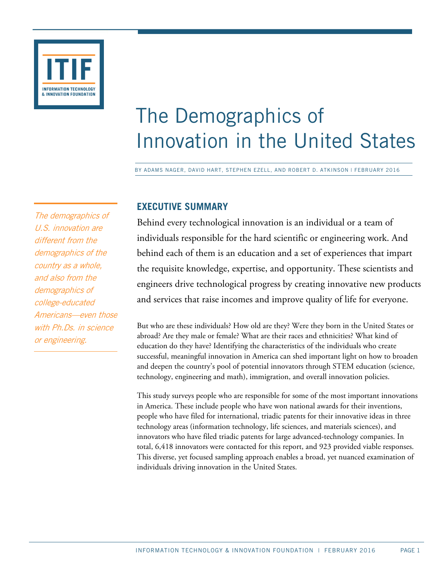

# The Demographics of Innovation in the United States

BY ADAMS NAGER, DAVID HART, STEPHEN EZELL, AND ROBERT D. ATKINSON | FEBRUARY 2016

# **EXECUTIVE SUMMARY**

Behind every technological innovation is an individual or a team of individuals responsible for the hard scientific or engineering work. And behind each of them is an education and a set of experiences that impart the requisite knowledge, expertise, and opportunity. These scientists and engineers drive technological progress by creating innovative new products and services that raise incomes and improve quality of life for everyone.

But who are these individuals? How old are they? Were they born in the United States or abroad? Are they male or female? What are their races and ethnicities? What kind of education do they have? Identifying the characteristics of the individuals who create successful, meaningful innovation in America can shed important light on how to broaden and deepen the country's pool of potential innovators through STEM education (science, technology, engineering and math), immigration, and overall innovation policies.

This study surveys people who are responsible for some of the most important innovations in America. These include people who have won national awards for their inventions, people who have filed for international, triadic patents for their innovative ideas in three technology areas (information technology, life sciences, and materials sciences), and innovators who have filed triadic patents for large advanced-technology companies. In total, 6,418 innovators were contacted for this report, and 923 provided viable responses. This diverse, yet focused sampling approach enables a broad, yet nuanced examination of individuals driving innovation in the United States.

The demographics of U.S. innovation are different from the demographics of the country as a whole, and also from the demographics of college-educated Americans—even those with Ph.Ds. in science or engineering.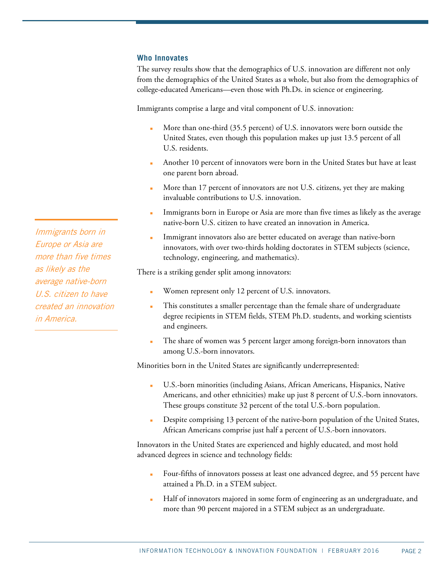#### **Who Innovates**

The survey results show that the demographics of U.S. innovation are different not only from the demographics of the United States as a whole, but also from the demographics of college-educated Americans—even those with Ph.Ds. in science or engineering.

Immigrants comprise a large and vital component of U.S. innovation:

- More than one-third (35.5 percent) of U.S. innovators were born outside the United States, even though this population makes up just 13.5 percent of all U.S. residents.
- Another 10 percent of innovators were born in the United States but have at least one parent born abroad.
- More than 17 percent of innovators are not U.S. citizens, yet they are making invaluable contributions to U.S. innovation.
- Immigrants born in Europe or Asia are more than five times as likely as the average native-born U.S. citizen to have created an innovation in America.
- Immigrant innovators also are better educated on average than native-born innovators, with over two-thirds holding doctorates in STEM subjects (science, technology, engineering, and mathematics).

There is a striking gender split among innovators:

- Women represent only 12 percent of U.S. innovators.
- This constitutes a smaller percentage than the female share of undergraduate degree recipients in STEM fields, STEM Ph.D. students, and working scientists and engineers.
- The share of women was 5 percent larger among foreign-born innovators than among U.S.-born innovators.

Minorities born in the United States are significantly underrepresented:

- U.S.-born minorities (including Asians, African Americans, Hispanics, Native Americans, and other ethnicities) make up just 8 percent of U.S.-born innovators. These groups constitute 32 percent of the total U.S.-born population.
- Despite comprising 13 percent of the native-born population of the United States, African Americans comprise just half a percent of U.S.-born innovators.

Innovators in the United States are experienced and highly educated, and most hold advanced degrees in science and technology fields:

- Four-fifths of innovators possess at least one advanced degree, and 55 percent have attained a Ph.D. in a STEM subject.
- Half of innovators majored in some form of engineering as an undergraduate, and more than 90 percent majored in a STEM subject as an undergraduate.

Immigrants born in Europe or Asia are more than five times as likely as the average native-born U.S. citizen to have created an innovation in America.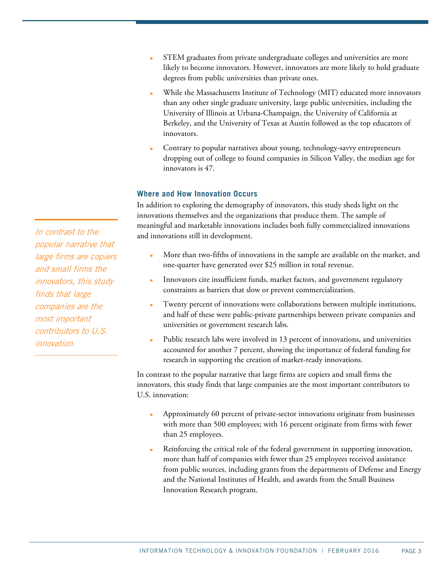- STEM graduates from private undergraduate colleges and universities are more likely to become innovators. However, innovators are more likely to hold graduate degrees from public universities than private ones.
- While the Massachusetts Institute of Technology (MIT) educated more innovators than any other single graduate university, large public universities, including the University of Illinois at Urbana-Champaign, the University of California at Berkeley, and the University of Texas at Austin followed as the top educators of innovators.
- Contrary to popular narratives about young, technology-savvy entrepreneurs dropping out of college to found companies in Silicon Valley, the median age for innovators is 47.

### **Where and How Innovation Occurs**

In addition to exploring the demography of innovators, this study sheds light on the innovations themselves and the organizations that produce them. The sample of meaningful and marketable innovations includes both fully commercialized innovations and innovations still in development.

- More than two-fifths of innovations in the sample are available on the market, and one-quarter have generated over \$25 million in total revenue.
- Innovators cite insufficient funds, market factors, and government regulatory constraints as barriers that slow or prevent commercialization.
- Twenty percent of innovations were collaborations between multiple institutions, and half of these were public-private partnerships between private companies and universities or government research labs.
- Public research labs were involved in 13 percent of innovations, and universities accounted for another 7 percent, showing the importance of federal funding for research in supporting the creation of market-ready innovations.

In contrast to the popular narrative that large firms are copiers and small firms the innovators, this study finds that large companies are the most important contributors to U.S. innovation:

- Approximately 60 percent of private-sector innovations originate from businesses with more than 500 employees; with 16 percent originate from firms with fewer than 25 employees.
- Reinforcing the critical role of the federal government in supporting innovation, more than half of companies with fewer than 25 employees received assistance from public sources, including grants from the departments of Defense and Energy and the National Institutes of Health, and awards from the Small Business Innovation Research program.

In contrast to the popular narrative that large firms are copiers and small firms the innovators, this study finds that large companies are the most important contributors to U.S. innovation.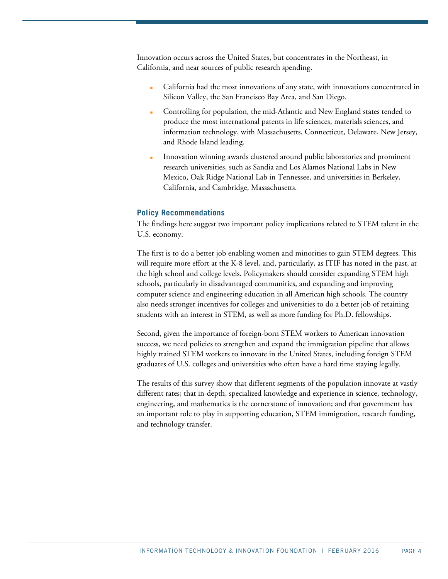Innovation occurs across the United States, but concentrates in the Northeast, in California, and near sources of public research spending.

- California had the most innovations of any state, with innovations concentrated in Silicon Valley, the San Francisco Bay Area, and San Diego.
- Controlling for population, the mid-Atlantic and New England states tended to produce the most international patents in life sciences, materials sciences, and information technology, with Massachusetts, Connecticut, Delaware, New Jersey, and Rhode Island leading.
- Innovation winning awards clustered around public laboratories and prominent research universities, such as Sandia and Los Alamos National Labs in New Mexico, Oak Ridge National Lab in Tennessee, and universities in Berkeley, California, and Cambridge, Massachusetts.

#### **Policy Recommendations**

The findings here suggest two important policy implications related to STEM talent in the U.S. economy.

The first is to do a better job enabling women and minorities to gain STEM degrees. This will require more effort at the K-8 level, and, particularly, as ITIF has noted in the past, at the high school and college levels. Policymakers should consider expanding STEM high schools, particularly in disadvantaged communities, and expanding and improving computer science and engineering education in all American high schools. The country also needs stronger incentives for colleges and universities to do a better job of retaining students with an interest in STEM, as well as more funding for Ph.D. fellowships.

Second, given the importance of foreign-born STEM workers to American innovation success, we need policies to strengthen and expand the immigration pipeline that allows highly trained STEM workers to innovate in the United States, including foreign STEM graduates of U.S. colleges and universities who often have a hard time staying legally.

The results of this survey show that different segments of the population innovate at vastly different rates; that in-depth, specialized knowledge and experience in science, technology, engineering, and mathematics is the cornerstone of innovation; and that government has an important role to play in supporting education, STEM immigration, research funding, and technology transfer.